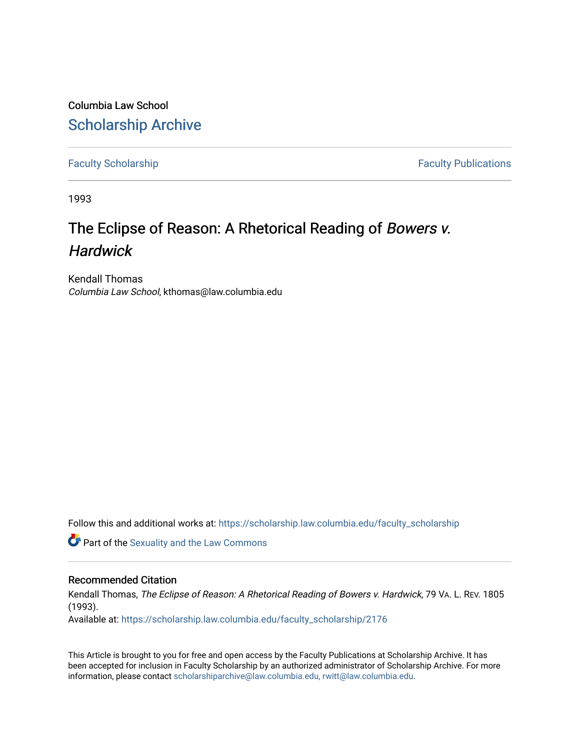Columbia Law School [Scholarship Archive](https://scholarship.law.columbia.edu/) 

[Faculty Scholarship](https://scholarship.law.columbia.edu/faculty_scholarship) **Faculty Scholarship Faculty Publications** 

1993

# The Eclipse of Reason: A Rhetorical Reading of Bowers v. **Hardwick**

Kendall Thomas Columbia Law School, kthomas@law.columbia.edu

Follow this and additional works at: [https://scholarship.law.columbia.edu/faculty\\_scholarship](https://scholarship.law.columbia.edu/faculty_scholarship?utm_source=scholarship.law.columbia.edu%2Ffaculty_scholarship%2F2176&utm_medium=PDF&utm_campaign=PDFCoverPages)

**Part of the [Sexuality and the Law Commons](https://network.bepress.com/hgg/discipline/877?utm_source=scholarship.law.columbia.edu%2Ffaculty_scholarship%2F2176&utm_medium=PDF&utm_campaign=PDFCoverPages)** 

### Recommended Citation

Kendall Thomas, The Eclipse of Reason: A Rhetorical Reading of Bowers v. Hardwick, 79 VA. L. REV. 1805 (1993).

Available at: [https://scholarship.law.columbia.edu/faculty\\_scholarship/2176](https://scholarship.law.columbia.edu/faculty_scholarship/2176?utm_source=scholarship.law.columbia.edu%2Ffaculty_scholarship%2F2176&utm_medium=PDF&utm_campaign=PDFCoverPages)

This Article is brought to you for free and open access by the Faculty Publications at Scholarship Archive. It has been accepted for inclusion in Faculty Scholarship by an authorized administrator of Scholarship Archive. For more information, please contact [scholarshiparchive@law.columbia.edu, rwitt@law.columbia.edu](mailto:scholarshiparchive@law.columbia.edu,%20rwitt@law.columbia.edu).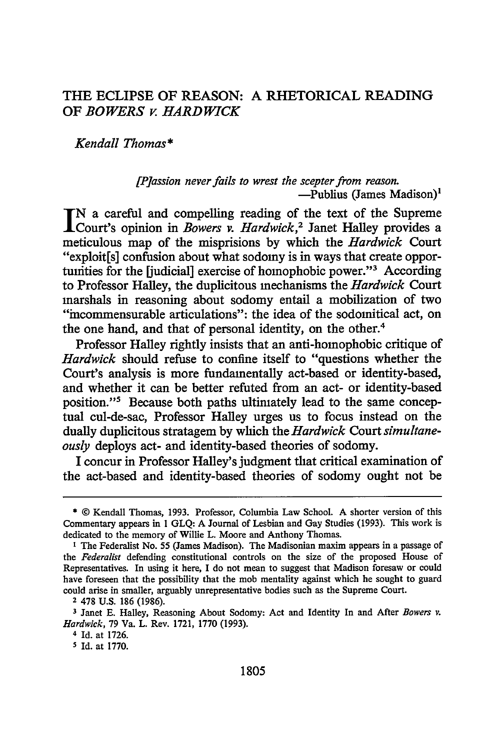## THE ECLIPSE OF **REASON: A** RHETORICAL READING OF *BOWERS v HARDWICK*

*Kendall Thomas\**

#### *[P]assion never fails to wrest the scepter from reason.*  $-$ Publius (James Madison)<sup>1</sup>

**N** a careful and compelling reading of the text of the Supreme Court's opinion in *Bowers v. Hardwick,2* Janet Halley provides a meticulous map of the misprisions by which the *Hardwick* Court "exploit[s] confusion about what sodomy is in ways that create opportunities for the [judicial] exercise of homophobic power."' According to Professor Halley, the duplicitous mechanisms the *Hardwick* Court marshals in reasoning about sodomy entail a mobilization of two "incommensurable articulations": the idea of the sodomitical act, on the one hand, and that of personal identity, on the other.<sup>4</sup>

Professor Halley rightly insists that an anti-homophobic critique of *Hardwick* should refuse to confine itself to "questions whether the Court's analysis is more fundamentally act-based or identity-based, and whether it can be better refuted from an act- or identity-based position."5 Because both paths ultimately lead to the same conceptual cul-de-sac, Professor Halley urges us to focus instead on the dually duplicitous stratagem by which the *Hardwick* Court *simultaneously* deploys act- and identity-based theories of sodomy.

I concur in Professor Halley's judgment that critical examination of the act-based and identity-based theories of sodomy ought not be

**<sup>\*</sup>** © Kendall Thomas, 1993. Professor, Columbia Law School. A shorter version of this Commentary appears in 1 GLQ: A Journal of Lesbian and Gay Studies (1993). This work is dedicated to the memory of Willie L. Moore and Anthony Thomas.

**I** The Federalist No. 55 (James Madison). The Madisonian maxim appears in a passage of the *Federalist* defending constitutional controls on the size of the proposed House of Representatives. In using it here, I do not mean to suggest that Madison foresaw or could have foreseen that the possibility that the mob mentality against which he sought to guard could arise in smaller, arguably unrepresentative bodies such as the Supreme Court.

<sup>2 478</sup> U.S. 186 (1986).

**<sup>3</sup>**Janet E. Halley, Reasoning About Sodomy: Act and Identity In and After *Bowers v. Hardwick,* 79 Va. L. Rev. 1721, 1770 (1993).

<sup>4</sup> Id. at 1726.

**<sup>5</sup>** Id. at 1770.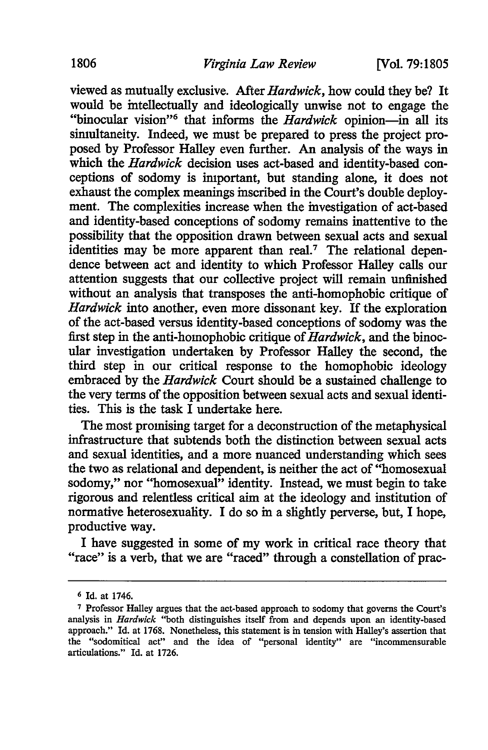viewed as mutually exclusive. After *Hardwick,* how could they be? It would be intellectually and ideologically unwise not to engage the "binocular vision"<sup>6</sup> that informs the *Hardwick* opinion-in all its simultaneity. Indeed, we must be prepared to press the project proposed **by** Professor Halley even further. An analysis of the ways in which the *Hardwick* decision uses act-based and identity-based conceptions of sodomy is important, but standing alone, it does not exhaust the complex meanings inscribed in the Court's double deployment. The complexities increase when the investigation of act-based and identity-based conceptions of sodomy remains inattentive to the possibility that the opposition drawn between sexual acts and sexual identities may be more apparent than real.<sup>7</sup> The relational dependence between act and identity to which Professor Halley calls our attention suggests that our collective project will remain unfinished without an analysis that transposes the anti-homophobic critique of *Hardwick* into another, even more dissonant key. If the exploration of the act-based versus identity-based conceptions of sodomy was the first step in the anti-homophobic critique of *Hardwick,* and the binocular investigation undertaken **by** Professor Halley the second, the third step in our critical response to the homophobic ideology embraced **by** the *Hardwick* Court should be a sustained challenge to the very terms of the opposition between sexual acts and sexual identities. This is the task I undertake here.

The most promising target for a deconstruction of the metaphysical infrastructure that subtends both the distinction between sexual acts and sexual identities, and a more nuanced understanding which sees the two as relational and dependent, is neither the act of "homosexual sodomy," nor "homosexual" identity. Instead, we must begin to take rigorous and relentless critical aim at the ideology and institution of normative heterosexuality. I do so in a slightly perverse, but, I hope, productive way.

I have suggested in some of my work in critical race theory that "race" is a verb, that we are "raced" through a constellation of prac-

**<sup>6</sup>** Id. at 1746.

**<sup>7</sup>** Professor Halley argues that the act-based approach to sodomy that governs the Court's analysis in *Hardwick* "both distinguishes itself from and depends upon an identity-based approach." Id. at **1768.** Nonetheless, this statement is in tension with Halley's assertion that the "sodomitical act" and the idea of "personal identity" are "incommensurable articulations." Id. at **1726.**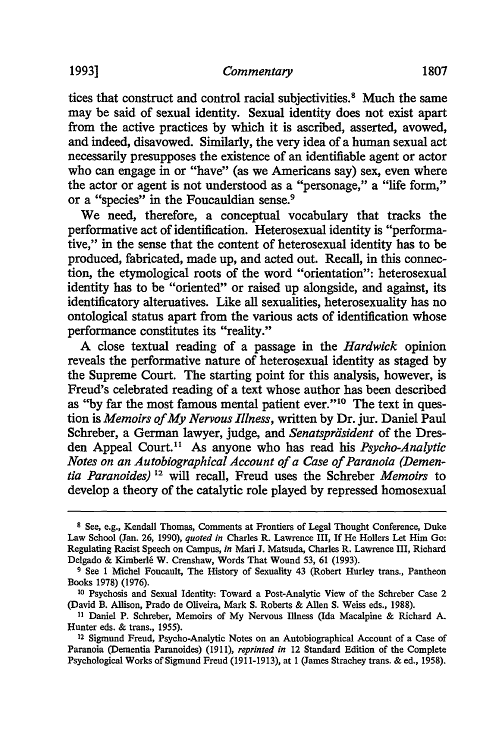tices that construct and control racial subjectivities.<sup>8</sup> Much the same may be said of sexual identity. Sexual identity does not exist apart from the active practices by which it is ascribed, asserted, avowed, and indeed, disavowed. Similarly, the very idea of a human sexual act necessarily presupposes the existence of an identifiable agent or actor who can engage in or "have" (as we Americans say) sex, even where the actor or agent is not understood as a "personage," a "life form," or a "species" in the Foucauldian sense.<sup>9</sup>

We need, therefore, a conceptual vocabulary that tracks the performative act of identification. Heterosexual identity is "performative," in the sense that the content of heterosexual identity has to be produced, fabricated, made up, and acted out. Recall, in this connection, the etymological roots of the word "orientation": heterosexual identity has to be "oriented" or raised up alongside, and against, its identificatory alteruatives. Like all sexualities, heterosexuality has no ontological status apart from the various acts of identification whose performance constitutes its "reality."

**A** close textual reading of a passage in the *Hardwick* opinion reveals the performative nature of heterosexual identity as staged by the Supreme Court. The starting point for this analysis, however, is Freud's celebrated reading of a text whose author has been described as "by far the most famous mental patient ever."10 The text in question is *Memoirs of My Nervous Illness,* written by Dr. jur. Daniel Paul Schreber, a German lawyer, judge, and *Senatspriisident* of the Dresden Appeal Court." As anyone who has read his *Psycho-Analytic Notes on an Autobiographical Account of a Case of Paranoia (Dementia Paranoides)* **1** will recall, Freud uses the Schreber *Memoirs* to develop a theory of the catalytic role played by repressed homosexual

**<sup>8</sup>** See, e.g., Kendall Thomas, Comments at Frontiers of Legal Thought Conference, Duke Law School (Jan. 26, 1990), *quoted in* Charles R. Lawrence III, If He Hollers Let Him Go: Regulating Racist Speech on Campus, in Mari J. Matsuda, Charles R. Lawrence III, Richard Delgado & Kimberl6 W. Crenshaw, Words That Wound 53, 61 (1993).

**<sup>9</sup>** See **I** Michel Foucault, The History of Sexuality 43 (Robert Hurley trans., Pantheon Books 1978) (1976).

**<sup>10</sup>** Psychosis and Sexual Identity: Toward a Post-Analytic View of the Schreber Case 2 (David B. Allison, Prado de Oliveira, Mark S. Roberts & Allen S. Weiss eds., 1988).

**<sup>11</sup>** Daniel P. Schreber, Memoirs of My Nervous Illness (Ida Macalpine & Richard **A.** Hunter eds. & trans., 1955).

<sup>12</sup> Sigmund Freud, Psycho-Analytic Notes on an Autobiographical Account of a Case of Paranoia (Dementia Paranoides) (1911), *reprinted in* 12 Standard Edition of the Complete Psychological Works of Sigmund Freud (1911-1913), at 1 (James Strachey trans. & ed., 1958).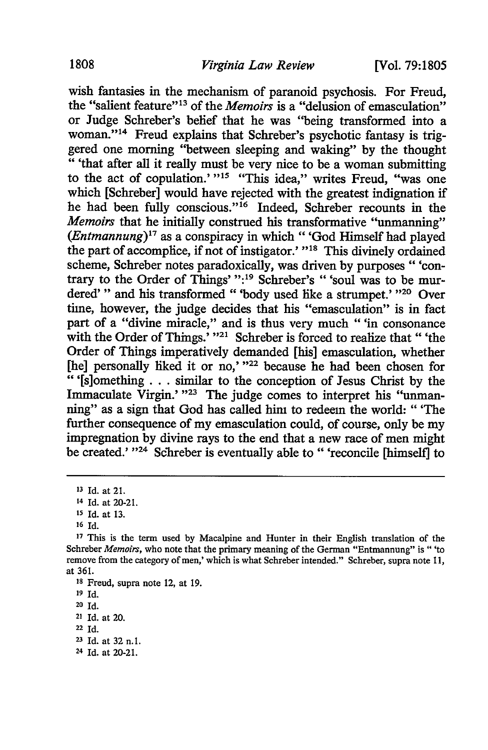wish fantasies in the mechanism of paranoid psychosis. For Freud, the "salient feature"13 of the *Memoirs* is a "delusion of emasculation" or Judge Schreber's belief that he was "being transformed into a woman."14 Freud explains that Schreber's psychotic fantasy is triggered one morning "between sleeping and waking" by the thought "'that after all it really must be very nice to be a woman submitting to the act of copulation.' **"15** "This idea," writes Freud, "was one which [Schreber] would have rejected with the greatest indignation if he had been fully conscious."16 Indeed, Schreber recounts in the *Memoirs* that he initially construed his transformative "unmanning" *(Entmannung)17* as a conspiracy in which "'God Himself had played the part of accomplice, if not of instigator.' **"18** This divinely ordained scheme, Schreber notes paradoxically, was driven by purposes **"** 'contrary to the Order of Things' ":<sup>19</sup> Schreber's "'soul was to be murdered' " and his transformed "'body used like a strumpet.' **"20** Over time, however, the judge decides that his "emasculation" is in fact part of a "divine miracle," and is thus very much "'in consonance with the Order of Things.' "<sup>21</sup> Schreber is forced to realize that " 'the Order of Things imperatively demanded [his] emasculation, whether [he] personally liked it or no,' **"22** because he had been chosen for "'[s]omething... similar to the conception of Jesus Christ by the Immaculate Virgin.' **"23** The judge comes to interpret his "unmanning" as a sign that God has called him to redeem the world: "'The further consequence of my emasculation could, of course, only be my impregnation by divine rays to the end that a new race of men might be created.' **"24** Sehreber is eventually able to "'reconcile [himself] to

24 Id. at 20-21.

**<sup>13</sup>** Id. at 21.

<sup>14</sup> Id. at 20-21.

**<sup>15</sup>** Id. at 13.

**<sup>16</sup> Id.**

**<sup>17</sup>** This is the term used by Macalpine and Hunter in their English translation of the Schreber *Memoirs*, who note that the primary meaning of the German "Entmannung" is " 'to remove from the category of men,' which is what Schreber intended." Schreber, supra note 11, at 361.

**<sup>1</sup>** Freud, supra note 12, at 19.

**<sup>19</sup>** Id.

**<sup>20</sup>**Id.

<sup>21</sup> Id. at 20.

<sup>22</sup> Id.

**<sup>23</sup>**Id. at 32 n.1.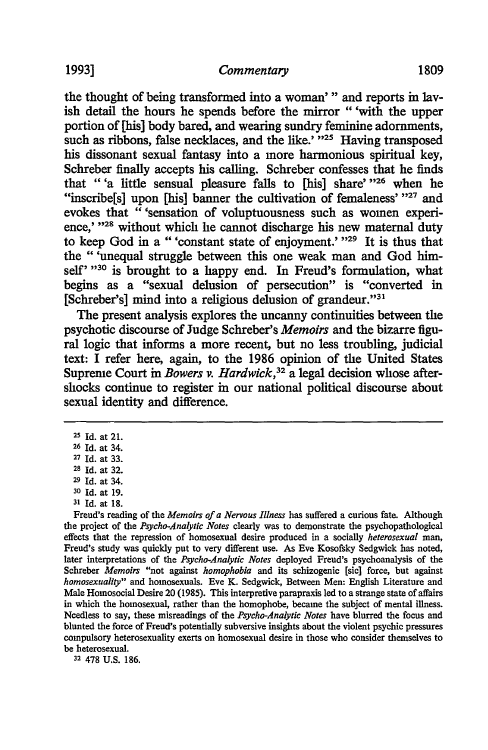the thought of being transformed into a woman'" and reports in lavish detail the hours he spends before the mirror "'with the upper portion of [his] body bared, and wearing sundry feminine adornments, such as ribbons, false necklaces, and the like.' **"25** Having transposed his dissonant sexual fantasy into a more harmonious spiritual key, Schreber finally accepts his calling. Schreber confesses that he finds that "'a little sensual pleasure falls to [his] share' **"26** when he "inscribe[s] upon [his] banner the cultivation of femaleness' **"27** and evokes that "'sensation of voluptuousness such as women experience,'  $^{928}$  without which he cannot discharge his new maternal duty to keep God in a "'constant state of enjoyment.' **"29** It is thus that the "'unequal struggle between this one weak man and God himself' **"30** is brought to a happy end. In Freud's formulation, what begins as a "sexual delusion of persecution" is "converted in [Schreber's] mind into a religious delusion of grandeur."<sup>31</sup>

The present analysis explores the uncanny continuities between the psychotic discourse of Judge Schreber's *Memoirs* and the bizarre figural logic that informs a more recent, but no less troubling, judicial text: I refer here, again, to the 1986 opinion of the United States Supreme Court in *Bowers v. Hardwick*,<sup>32</sup> a legal decision whose aftershocks continue to register in our national political discourse about sexual identity and difference.

Freud's reading of the *Memoirs of a Nervous Illness* has suffered a curious fate. Although the project of the *Psycho-Analytic Notes* clearly was to demonstrate the psychopathological effects that the repression of homosexual desire produced in a socially *heterosexual man,* Freud's study was quickly put to very different use. As Eve Kosofsky Sedgwick has noted, later interpretations of the *Psycho-Analytic Notes* deployed Freud's psychoanalysis of the Schreber *Memoirs* "not against *homophobia* and its schizogenic [sic] force, but against *homosexuality"* and homosexuals. Eve K. Sedgwick, Between Men: English Literature and Male Homosocial Desire 20 (1985). This interpretive parapraxis led to a strange state of affairs in which the homosexual, rather than the homophobe, became the subject of mental illness. Needless to say, these misreadings of the *Psycho-Analytic Notes* have blurred the focus and blunted the force of Freud's potentially subversive insights about the violent psychic pressures compulsory heterosexuality exerts on homosexual desire in those who consider themselves to be heterosexual.

**32** 478 U.S. 186.

**<sup>25</sup>**Id. at 21.

**<sup>26</sup>**Id. at 34. **<sup>27</sup>**Id. at 33.

**<sup>28</sup>**Id. at 32.

**<sup>29</sup>**Id. at 34.

**<sup>30</sup>**Id. at 19.

**<sup>31</sup>**Id. at **18.**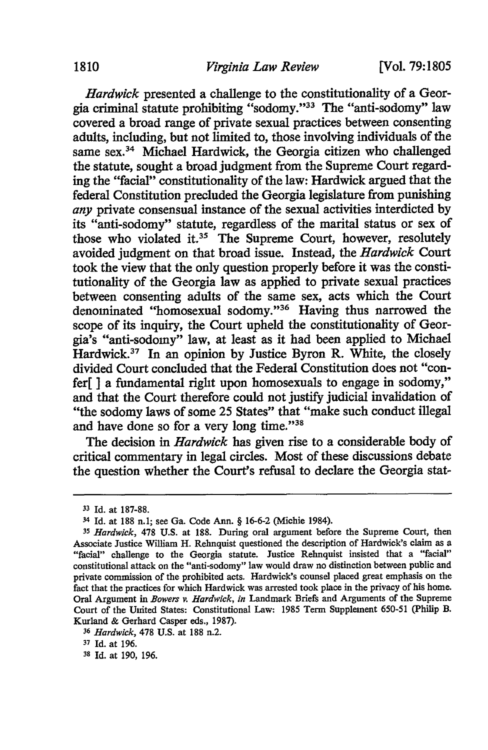*Hardwick* presented a challenge to the constitutionality of a Georgia criminal statute prohibiting "sodomy. '33 The "anti-sodomy" law covered a broad range of private sexual practices between consenting adults, including, but not limited to, those involving individuals of the same sex.34 Michael Hardwick, the Georgia citizen who challenged the statute, sought a broad judgment from the Supreme Court regarding the "facial" constitutionality of the law: Hardwick argued that the federal Constitution precluded the Georgia legislature from punishing *any* private consensual instance of the sexual activities interdicted by its "anti-sodomy" statute, regardless of the marital status or sex of those who violated it.35 The Supreme Court, however, resolutely avoided judgment on that broad issue. Instead, the *Hardwick* Court took the view that the only question properly before it was the constitutionality of the Georgia law as applied to private sexual practices between consenting adults of the same sex, acts which the Court denominated "homosexual sodomy."<sup>36</sup> Having thus narrowed the scope of its inquiry, the Court upheld the constitutionality of Georgia's "anti-sodomy" law, at least as it had been applied to Michael Hardwick.<sup>37</sup> In an opinion by Justice Byron R. White, the closely divided Court concluded that the Federal Constitution does not "confer<sup>[ ]</sup> a fundamental right upon homosexuals to engage in sodomy," and that the Court therefore could not justify judicial invalidation of "the sodomy laws of some 25 States" that "make such conduct illegal and have done so for a very long time."<sup>3</sup>

The decision in *Hardwick* has given rise to a considerable body of critical commentary in legal circles. Most of these discussions debate the question whether the Court's refusal to declare the Georgia stat-

**<sup>33</sup>** Id. at 187-88.

**<sup>34</sup>**Id. at 188 n.1; see Ga. Code Ann. *§* 16-6-2 (Michie 1984).

**<sup>35</sup>** *Hardwick,* 478 U.S. at 188. During oral argument before the Supreme Court, then Associate Justice William H. Rehnquist questioned the description of Hardwick's claim as a "facial" challenge to the Georgia statute. Justice Rehnquist insisted that a "facial" constitutional attack on the "anti-sodomy" law would draw no distinction between public and private commission of the prohibited acts. Hardwick's counsel placed great emphasis on the fact that the practices for which Hardwick was arrested took place in the privacy of his home. Oral Argument in *Bowers v. Hardwick, in* Landmark Briefs and Arguments of the Supreme Court of the United States: Constitutional Law: 1985 Term Supplement 650-51 (Philip B. Kurland & Gerhard Casper eds., 1987).

**<sup>36</sup>** *Hardwick,* 478 U.S. at 188 n.2.

**<sup>37</sup>**Id. at 196.

**<sup>38</sup>**Id. at 190, 196.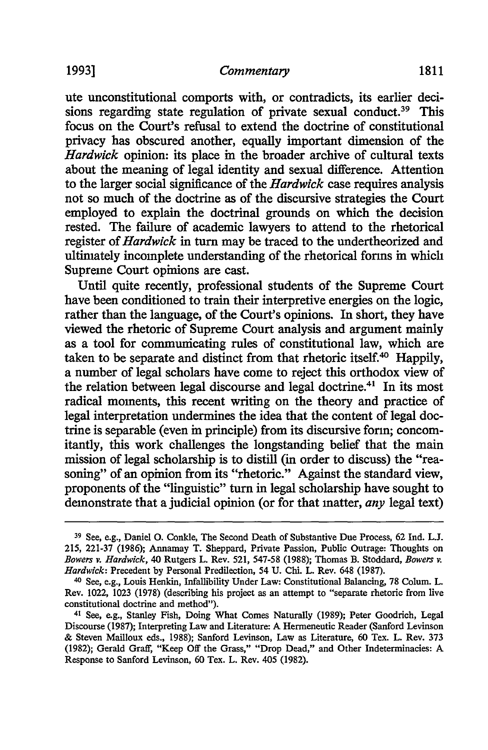ute unconstitutional comports with, or contradicts, its earlier decisions regarding state regulation of private sexual conduct.<sup>39</sup> This focus on the Court's refusal to extend the doctrine of constitutional privacy has obscured another, equally important dimension of the *Hardwick* opinion: its place in the broader archive of cultural texts about the meaning of legal identity and sexual difference. Attention to the larger social significance of the *Hardwick* case requires analysis not so much of the doctrine as of the discursive strategies the Court employed to explain the doctrinal grounds on which the decision rested. The failure of academic lawyers to attend to the rhetorical register of *Hardwick* in turn may be traced to the undertheorized and ultimately incomplete understanding of the rhetorical forms in which Supreme Court opinions are cast.

Until quite recently, professional students of the Supreme Court have been conditioned to train their interpretive energies on the logic, rather than the language, of the Court's opinions. In short, they have viewed the rhetoric of Supreme Court analysis and argument mainly as a tool for communicating rules of constitutional law, which are taken to be separate and distinct from that rhetoric itself.40 Happily, a number of legal scholars have come to reject this orthodox view of the relation between legal discourse and legal doctrine.<sup>41</sup> In its most radical moments, this recent writing on the theory and practice of legal interpretation undermines the idea that the content of legal doctrine is separable (even in principle) from its discursive form; concomitantly, this work challenges the longstanding belief that the main mission of legal scholarship is to distill (in order to discuss) the "reasoning" of an opinion from its "rhetoric." Against the standard view, proponents of the "linguistic" turn in legal scholarship have sought to demonstrate that a judicial opinion (or for that matter, *any* legal text)

<sup>&</sup>lt;sup>39</sup> See, e.g., Daniel O. Conkle, The Second Death of Substantive Due Process, 62 Ind. L.J. 215, 221-37 (1986); Annamay T. Sheppard, Private Passion, Public Outrage: Thoughts on *Bowers v. Hardwick,* 40 Rutgers L. Rev. 521, 547-58 (1988); Thomas B. Stoddard, *Bowers v. Hardwick:* Precedent by Personal Predilection, 54 U. Chi. L. Rev. 648 (1987).

*<sup>40</sup>*See, e.g., Louis Henkin, Infallibility Under Law: Constitutional Balancing, 78 Colum. L. Rev. 1022, 1023 (1978) (describing his project as an attempt to "separate rhetoric from live constitutional doctrine and method").

<sup>41</sup> See, e.g., Stanley Fish, Doing What Comes Naturally (1989); Peter Goodrich, Legal Discourse (1987); Interpreting Law and Literature: A Hermeneutic Reader (Sanford Levinson & Steven Mailloux eds., 1988); Sanford Levinson, Law as Literature, 60 Tex. L. Rev. 373 (1982); Gerald Graff, "Keep Off the Grass," "Drop Dead," and Other Indeterminacies: A Response to Sanford Levinson, 60 Tex. L. Rev. 405 (1982).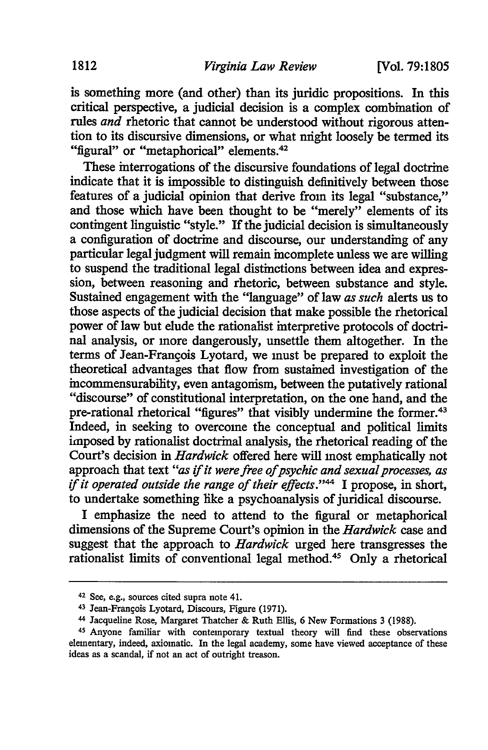is something more (and other) than its juridic propositions. In this critical perspective, a judicial decision is a complex combination of rules *and* rhetoric that cannot be understood without rigorous attention to its discursive dimensions, or what might loosely be termed its "figural" or "metaphorical" elements.<sup>42</sup>

These interrogations of the discursive foundations of legal doctrine indicate that it is impossible to distinguish definitively between those features of a judicial opinion that derive from its legal "substance," and those which have been thought to be "merely" elements of its contingent linguistic "style." If the judicial decision is simultaneously a configuration of doctrine and discourse, our understanding of any particular legal judgment will remain incomplete unless we are willing to suspend the traditional legal distinctions between idea and expression, between reasoning and rhetoric, between substance and style. Sustained engagement with the "language" of law *as such* alerts us to those aspects of the judicial decision that make possible the rhetorical power of law but elude the rationalist interpretive protocols of doctrinal analysis, or more dangerously, unsettle them altogether. In the terms of Jean-Frangois Lyotard, we must be prepared to exploit the theoretical advantages that flow from sustained investigation of the incommensurability, even antagonism, between the putatively rational "discourse" of constitutional interpretation, on the one hand, and the pre-rational rhetorical "figures" that visibly undermine the former.<sup>43</sup> Indeed, in seeking to overcome the conceptual and political limits imposed by rationalist doctrinal analysis, the rhetorical reading of the Court's decision in *Hardwick* offered here will most emphatically not approach that text "as if it were free of psychic and sexual processes, as if it operated outside the range of their effects."<sup>44</sup> I propose, in short, to undertake something like a psychoanalysis of juridical discourse.

I emphasize the need to attend to the figural or metaphorical dimensions of the Supreme Court's opinion in the *Hardwick* case and suggest that the approach to *Hardwick* urged here transgresses the rationalist limits of conventional legal method.45 Only a rhetorical

<sup>&</sup>lt;sup>42</sup> See, e.g., sources cited supra note 41.

<sup>&</sup>lt;sup>43</sup> Jean-François Lyotard, Discours, Figure (1971).

<sup>44</sup>Jacqueline Rose, Margaret Thatcher & Ruth Ellis, 6 New Formations 3 (1988).

<sup>45</sup>Anyone familiar with contemporary textual theory will find these observations elementary, indeed, axiomatic. In the legal academy, some have viewed acceptance of these ideas as a scandal, if not an act of outright treason.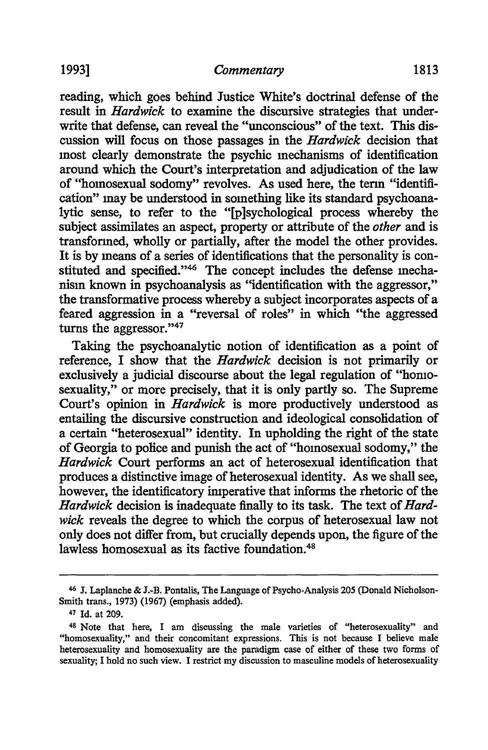reading, which goes behind Justice White's doctrinal defense of the result in *Hardwick* to examine the discursive strategies that underwrite that defense, can reveal the "unconscious" of the text. This discussion will focus on those passages in the *Hardwick* decision that most clearly demonstrate the psychic mechanisms of identification around which the Court's interpretation and adjudication of the law of "homosexual sodomy" revolves. As used here, the term "identification" may be understood in something like its standard psychoanalytic sense, to refer to the "[p]sychological process whereby the subject assimilates an aspect, property or attribute of the *other* and is transformed, wholly or partially, after the model the other provides. It is by means of a series of identifications that the personality is constituted and specified."<sup>46</sup> The concept includes the defense inechanism known in psychoanalysis as "identification with the aggressor," the transformative process whereby a subject incorporates aspects of a feared aggression in a "reversal of roles" in which "the aggressed turns the aggressor."<sup>47</sup>

Taking the psychoanalytic notion of identification as a point of reference, I show that the *Hardwick* decision is not primarily or exclusively a judicial discourse about the legal regulation of "homosexuality," or more precisely, that it is only partly so. The Supreme Court's opinion in *Hardwick* is more productively understood as entailing the discursive construction and ideological consolidation of a certain "heterosexual" identity. In upholding the right of the state of Georgia to police and punish the act of "homosexual sodomy," the *Hardwick* Court performs an act of heterosexual identification that produces a distinctive image of heterosexual identity. As we shall see, however, the identificatory imperative that informs the rhetoric of the *Hardwick* decision is inadequate finally to its task. The text of *Hardwick* reveals the degree to which the corpus of heterosexual law not only does not differ from, but crucially depends upon, the figure of the lawless homosexual as its factive foundation. $48$ 

<sup>46</sup> **J.** Laplanche & **J.-B.** Pontalis, The Language of Psycho-Analysis **205** (Donald Nicholson-Smith trans., 1973) (1967) (emphasis added).

<sup>47</sup> Id. at 209.

<sup>48</sup> Note that here, I am discussing the male varieties of "heterosexuality" and "homosexuality," and their concomitant expressions. This is not because **I** believe male heterosexuality and homosexuality are the paradigm case of either of these two forms of sexuality; I hold no such view. I restrict my discussion to masculine models of heterosexuality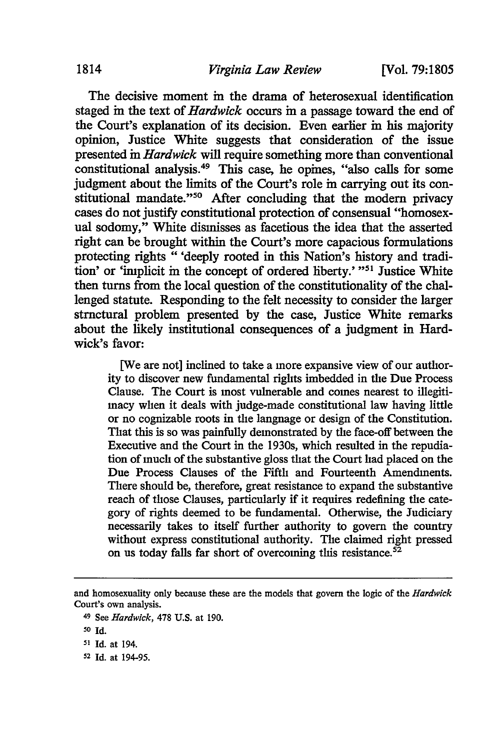The decisive moment in the drama of heterosexual identification staged in the text of *Hardwick* occurs in a passage toward the end of the Court's explanation of its decision. Even earlier in his majority opinion, Justice White suggests that consideration of the issue presented in *Hardwick* will require something more than conventional constitutional analysis.<sup>49</sup> This case, he opines, "also calls for some judgment about the limits of the Court's role in carrying out its constitutional mandate."<sup>50</sup> After concluding that the modern privacy cases do not justify constitutional protection of consensual "homosexual sodomy," White dismisses as facetious the idea that the asserted right can be brought within the Court's more capacious formulations protecting rights "'deeply rooted in this Nation's history and tradition' or 'implicit in the concept of ordered liberty.' "<sup>51</sup> Justice White then turns from the local question of the constitutionality of the challenged statute. Responding to the felt necessity to consider the larger strnctural problem presented by the case, Justice White remarks about the likely institutional consequences of a judgment in Hardwick's favor:

[We are not] inclined to take a more expansive view of our authority to discover new fundamental rights imbedded in the Due Process Clause. The Court is most vulnerable and comes nearest to illegitimacy when it deals with judge-made constitutional law having little or no cognizable roots in the language or design of the Constitution. That this is so was painfully demonstrated by the face-off between the Executive and the Court in the 1930s, which resulted in the repudiation of much of the substantive gloss that the Court had placed on the Due Process Clauses of the Fifth and Fourteenth Amendments. There should be, therefore, great resistance to expand the substantive reach of those Clauses, particularly if it requires redefining the category of rights deemed to be fundamental. Otherwise, the Judiciary necessarily takes to itself further authority to govern the country without express constitutional authority. The claimed right pressed on us today falls far short of overcoming this resistance. $52$ 

**<sup>52</sup>**Id. at 194-95.

and homosexuality only because these are the models that govern the logic of the *Hardwick* Court's own analysis.

<sup>49</sup> See *Hardwick,* 478 U.S. at 190.

**<sup>50</sup>**Id.

**<sup>51</sup>** Id. at 194.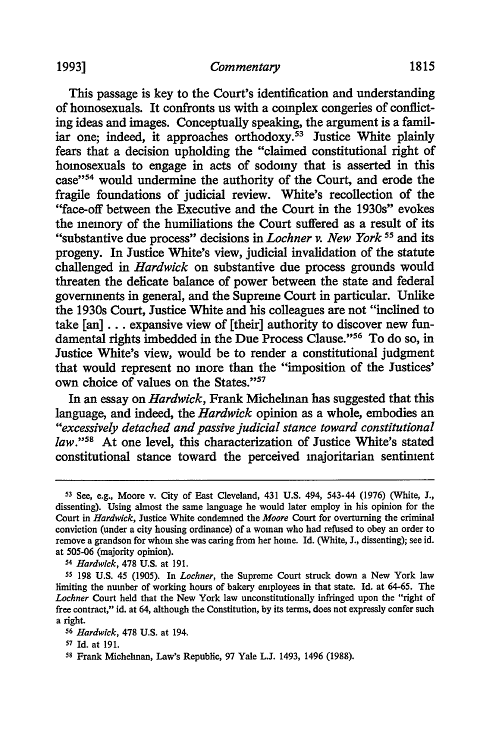#### **1993]** *Commentary* **1815**

This passage is key to the Court's identification and understanding of homosexuals. It confronts us with a complex congeries of conflicting ideas and images. Conceptually speaking, the argument is a familiar one; indeed, it approaches orthodoxy.<sup>53</sup> Justice White plainly fears that a decision upholding the "claimed constitutional right of homosexuals to engage in acts of sodomy that is asserted in this case"54 would undermine the authority of the Court, and erode the fragile foundations of judicial review. White's recollection of the "face-off between the Executive and the Court in the 1930s" evokes the memory of the humiliations the Court suffered as a result of its "substantive due process" decisions in *Lochner v. New York 55* and its progeny. In Justice White's view, judicial invalidation of the statute challenged in *Hardwick* on substantive due process grounds would threaten the delicate balance of power between the state and federal governments in general, and the Supreme Court in particular. Unlike the 1930s Court, Justice White and his colleagues are not "inclined to take [an] ... expansive view of [their] authority to discover new fundamental rights imbedded in the Due Process Clause."56 To do so, in Justice White's view, would be to render a constitutional judgment that would represent no more than the "imposition of the Justices' own choice of values on the States."<sup>57</sup>

In an essay on *Hardwick,* Frank Michelman has suggested that this language, and indeed, the *Hardwick* opinion as a whole, embodies an *"excessively detached and passive judicial stance toward constitutional law."58* At one level, this characterization of Justice White's stated constitutional stance toward the perceived majoritarian sentiment

**<sup>57</sup>**Id. at 191.

**<sup>53</sup>**See, e.g., Moore v. City of East Cleveland, 431 U.S. 494, 543-44 (1976) (White, J., dissenting). Using almost the same language he would later employ in his opinion for the Court in *Hardwick,* Justice White condemned the *Moore* Court for overturning the criminal conviction (under a city housing ordinance) of a woman who had refused to obey an order to remove a grandson for whom she was caring from her home. Id. (White, J., dissenting); see id. at 505-06 (majority opinion).

*<sup>54</sup> Hardwick,* 478 U.S. at 191.

**<sup>55</sup>**198 U.S. 45 (1905). In *Lochner,* the Supreme Court struck down a New York law limiting the number of working hours of bakery employees in that state. Id. at 64-65. The *Lochner* Court held that the New York law unconstitutionally infringed upon the "right of free contract," id. at 64, although the Constitution, by its terms, does not expressly confer such a right.

*<sup>56</sup> Hardwick,* 478 U.S. at 194.

**<sup>58</sup>**Frank Michelman, Law's Republic, 97 Yale **L.J.** 1493, 1496 (1988).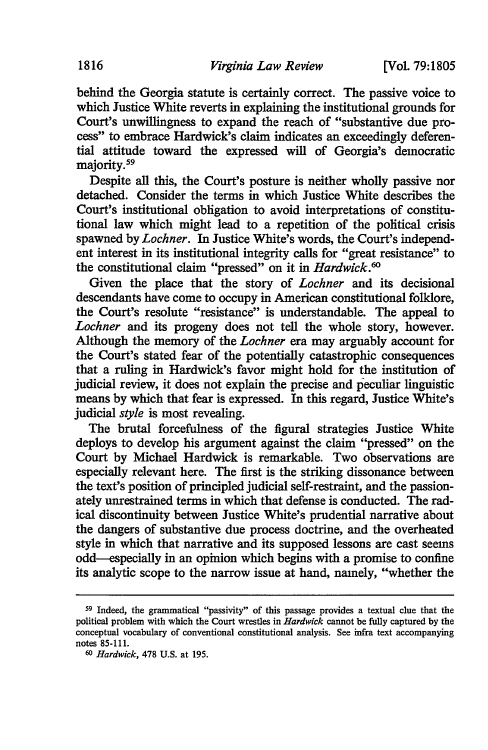behind the Georgia statute is certainly correct. The passive voice to which Justice White reverts in explaining the institutional grounds for Court's unwillingness to expand the reach of "substantive due process" to embrace Hardwick's claim indicates an exceedingly deferential attitude toward the expressed will of Georgia's democratic majority.<sup>59</sup>

Despite all this, the Court's posture is neither wholly passive nor detached. Consider the terms in which Justice White describes the Court's institutional obligation to avoid interpretations of constitutional law which might lead to a repetition of the political crisis spawned by *Lochner.* In Justice White's words, the Court's independent interest in its institutional integrity calls for "great resistance" to the constitutional claim "pressed" on it in *Hardwick.60*

Given the place that the story of *Lochner* and its decisional descendants have come to occupy in American constitutional folklore, the Court's resolute "resistance" is understandable. The appeal to *Lochner* and its progeny does not tell the whole story, however. Although the memory of the *Lochner* era may arguably account for the Court's stated fear of the potentially catastrophic consequences that a ruling in Hardwick's favor might hold for the institution of judicial review, it does not explain the precise and peculiar linguistic means by which that fear is expressed. In this regard, Justice White's judicial *style* is most revealing.

The brutal forcefulness of the figural strategies Justice White deploys to develop his argument against the claim "pressed" on the Court by Michael Hardwick is remarkable. Two observations are especially relevant here. The first is the striking dissonance between the text's position of principled judicial self-restraint, and the passionately unrestrained terms in which that defense is conducted. The radical discontinuity between Justice White's prudential narrative about the dangers of substantive due process doctrine, and the overheated style in which that narrative and its supposed lessons are cast seems odd-especially in an opinion which begins with a promise to confine its analytic scope to the narrow issue at hand, namely, "whether the

**<sup>59</sup>**Indeed, the grammatical "passivity" of this passage provides a textual clue that the political problem with which the Court wrestles in *Hardwick* cannot be fully captured by the conceptual vocabulary of conventional constitutional analysis. See infra text accompanying notes 85-111.

**<sup>60</sup>** *Hardwick,* 478 U.S. at 195.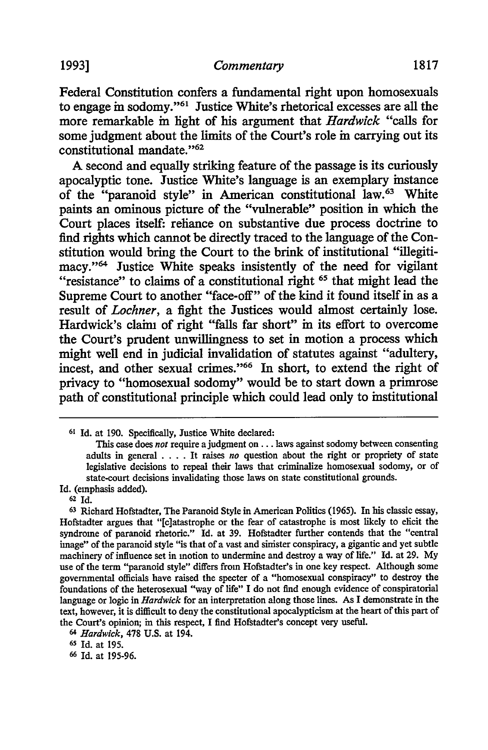Federal Constitution confers a fundamental right upon homosexuals to engage in sodomy."61 Justice White's rhetorical excesses are all the more remarkable in light of his argument that *Hardwick* "calls for some judgment about the limits of the Court's role in carrying out its constitutional mandate."62

A second and equally striking feature of the passage is its curiously apocalyptic tone. Justice White's language is an exemplary instance of the "paranoid style" in American constitutional law.<sup>63</sup> White paints an ominous picture of the "vulnerable" position in which the Court places itself: reliance on substantive due process doctrine to find rights which cannot be directly traced to the language of the Constitution would bring the Court to the brink of institutional "illegitimacy."<sup>64</sup> Justice White speaks insistently of the need for vigilant "resistance" to claims of a constitutional right <sup>65</sup> that might lead the Supreme Court to another "face-off" of the kind it found itself in as a result of *Lochner,* a fight the Justices would almost certainly lose. Hardwick's claim of right "falls far short" in its effort to overcome the Court's prudent unwillingness to set in motion a process which might well end in judicial invalidation of statutes against "adultery, incest, and other sexual crimes."<sup>66</sup> In short, to extend the right of privacy to "homosexual sodomy" would be to start down a primrose path of constitutional principle which could lead only to institutional

**<sup>61</sup> Id.** at 190. Specifically, Justice White declared:

This case does *not* require a judgment on... laws against sodomy between consenting adults in general .**. .** .It raises *no* question about the right or propriety of state legislative decisions to repeal their laws that criminalize homosexual sodomy, or of state-court decisions invalidating those laws on state constitutional grounds.

Id. (emphasis added).

**<sup>62</sup>**Id.

**<sup>63</sup>**Richard Hofstadter, The Paranoid Style in American Politics (1965). In his classic essay, Hofstadter argues that "[c]atastrophe or the fear of catastrophe is most likely to elicit the syndrome of paranoid rhetoric." Id. at 39. Hofstadter further contends that the "central image" of the paranoid style "is that of a vast and sinister conspiracy, a gigantic and yet subtle machinery of influence set in motion to undermine and destroy a way of life." Id. at 29. My use of the term "paranoid style" differs from Hofstadter's in one key respect. Although some governmental officials have raised the specter of a "homosexual conspiracy" to destroy the foundations of the heterosexual "way of life" I do not find enough evidence of conspiratorial language or logic in *Hardwick* for an interpretation along those lines. As I demonstrate in the text, however, it is difficult to deny the constitutional apocalypticism at the heart of this part of the Court's opinion; in this respect, I find Hofstadter's concept very useful.

*<sup>6</sup> Hardwick,* 478 U.S. at 194.

**<sup>65</sup>**Id. at 195.

**<sup>6</sup>** Id. at 195-96.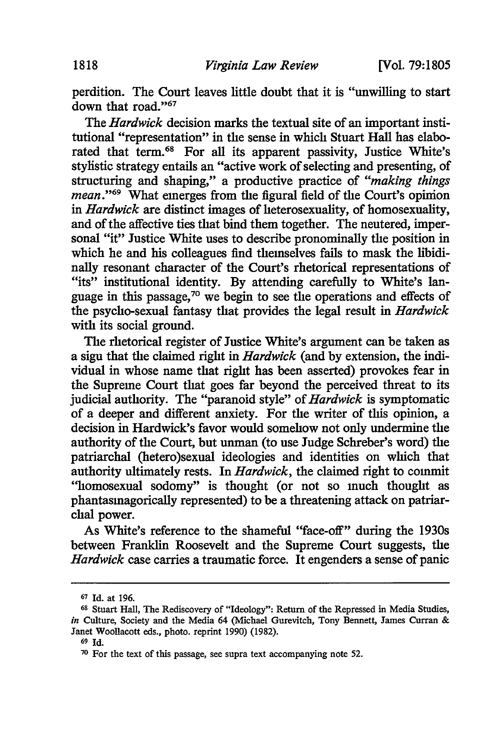perdition. The Court leaves little doubt that it is "unwilling to start down that road."<sup>67</sup>

The *Hardwick* decision marks the textual site of an important institutional "representation" in the sense in which Stuart Hall has elaborated that term.<sup>68</sup> For all its apparent passivity, Justice White's stylistic strategy entails an "active work of selecting and presenting, of structuring and shaping," a productive practice of *"making things mean."69* What emerges from the figural field of the Court's opinion in *Hardwick* are distinct images of heterosexuality, of homosexuality, and of the affective ties that bind them together. The neutered, impersonal "it" Justice White uses to describe pronominally the position in which he and his colleagues find themselves fails to mask the libidinally resonant character of the Court's rhetorical representations of "its" institutional identity. **By** attending carefully to White's language in this passage,70 we begin to see the operations and effects of the psycho-sexual fantasy that provides the legal result in *Hardwick* with its social ground.

The rhetorical register of Justice White's argument can be taken as a sign that the claimed right in *Hardwick* (and **by** extension, the individual in whose name that right has been asserted) provokes fear in the Supreme Court that goes far beyond the perceived threat to its judicial authority. The "paranoid style" *of Hardwick* is symptomatic of a deeper and different anxiety. For the writer of this opinion, a decision in Hardwick's favor would somehow not only undermine the authority of the Court, but unman (to use Judge Schreber's word) the patriarchal (hetero)sexual ideologies and identities on which that authority ultimately rests. In *Hardwick,* the claimed right to commit "homosexual sodomy" is thought (or not so much thought as phantasmagorically represented) to be a threatening attack on patriarchal power.

As White's reference to the shameful "face-off" during the 1930s between Franklin Roosevelt and the Supreme Court suggests, the *Hardwick* case carries a traumatic force. It engenders a sense of panic

**<sup>67</sup> Id.** at 196.

**<sup>68</sup>**Stuart Hall, The Rediscovery of "Ideology": Return of the Repressed in Media Studies, *in* Culture, Society and the Media 64 (Michael Gurevitch, Tony Bennett, James Curran & Janet Woollacott eds., photo. reprint 1990) (1982).

**<sup>69</sup>**Id.

**<sup>70</sup>**For the text of this passage, see supra text accompanying note 52.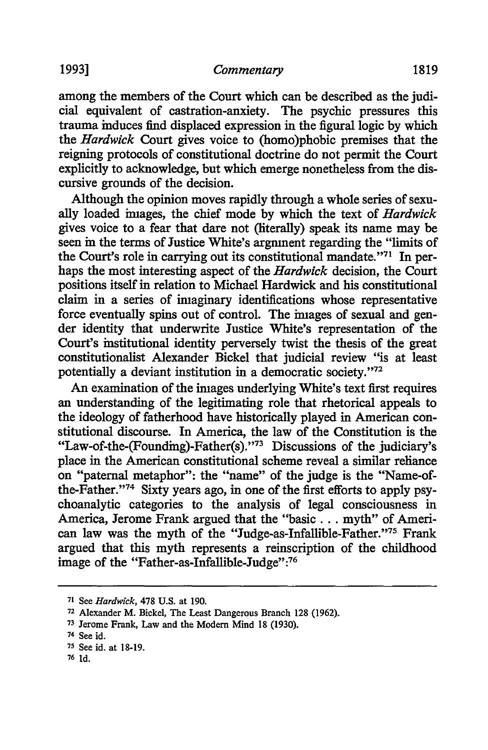among the members of the Court which can be described as the judicial equivalent of castration-anxiety. The psychic pressures this trauma induces find displaced expression in the figural logic by which the *Hardwick* Court gives voice to (homo)phobic premises that the reigning protocols of constitutional doctrine do not permit the Court explicitly to acknowledge, but which emerge nonetheless from the discursive grounds of the decision.

Although the opinion moves rapidly through a whole series of sexually loaded images, the chief mode by which the text of *Hardwick* gives voice to a fear that dare not (literally) speak its name may be seen in the terms of Justice White's argument regarding the "limits of the Court's role in carrying out its constitutional mandate."<sup>71</sup> In perhaps the most interesting aspect of the *Hardwick* decision, the Court positions itself in relation to Michael Hardwick and his constitutional claim in a series of imaginary identifications whose representative force eventually spins out of control. The images of sexual and gender identity that underwrite Justice White's representation of the Court's institutional identity perversely twist the thesis of the great constitutionalist Alexander Bickel that judicial review "is at least potentially a deviant institution in a democratic society."72

An examination of the images underlying White's text first requires an understanding of the legitimating role that rhetorical appeals to the ideology of fatherhood have historically played in American constitutional discourse. In America, the law of the Constitution is the "Law-of-the-(Founding)-Father(s)."<sup>73</sup> Discussions of the judiciary's place in the American constitutional scheme reveal a similar reliance on "paternal metaphor": the "name" of the judge is the "Name-ofthe-Father."'74 Sixty years ago, in one of the first efforts to apply psychoanalytic categories to the analysis of legal consciousness in America, Jerome Frank argued that the "basic... myth" of American law was the myth of the "Judge-as-Infallible-Father."75 Frank argued that this myth represents a reinscription of the childhood image of the "Father-as-Infallible-Judge":<sup>76</sup>

**<sup>71</sup>** See *Hardwick,* 478 U.S. at 190.

**<sup>72</sup>**Alexander M. Bickel, The Least Dangerous Branch 128 (1962).

**<sup>73</sup>**Jerome Frank, Law and the Modem Mind 18 (1930).

**<sup>74</sup>**See id.

**<sup>75</sup>**See id. at 18-19.

**<sup>76</sup>** Id.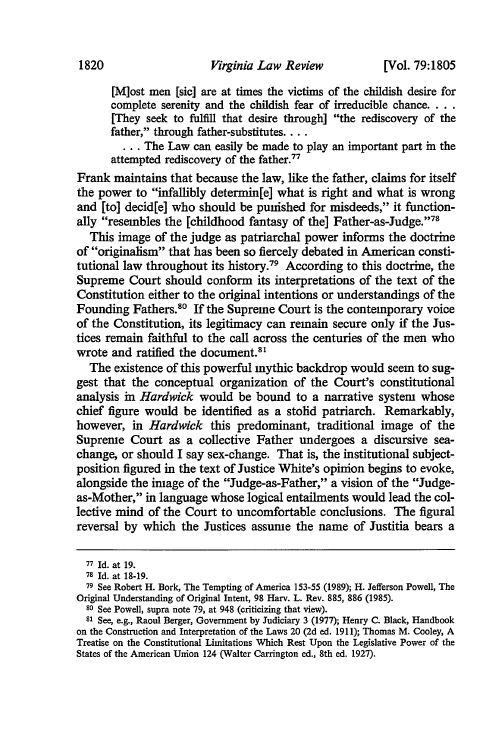[M]ost men [sic] are at times the victims of the childish desire for complete serenity and the childish fear of irreducible chance. . . . [They seek to fulfill that desire through] "the rediscovery of the father," through father-substitutes....

**...** The Law can easily be made to play an important part in the attempted rediscovery of the father.<sup>77</sup>

Frank maintains that because the law, like the father, claims for itself the power to "infallibly determin[e] what is right and what is wrong and [to] decid[e] who should be punished for misdeeds," it functionally "resembles the [childhood fantasy of the] Father-as-Judge."78

This image of the judge as patriarchal power informs the doctrine of "originalism" that has been so fiercely debated in American constitutional law throughout its history.79 According to this doctrine, the Supreme Court should conform its interpretations of the text of the Constitution either to the original intentions or understandings of the Founding Fathers.80 If the Supreme Court is the contemporary voice of the Constitution, its legitimacy can remain secure only if the Justices remain faithful to the call across the centuries of the men who wrote and ratified the document.<sup>81</sup>

The existence of this powerful mythic backdrop would seem to suggest that the conceptual organization of the Court's constitutional analysis in *Hardwick* would be bound to a narrative system whose chief figure would be identified as a stolid patriarch. Remarkably, however, in *Hardwick* this predominant, traditional image of the Supreme Court as a collective Father undergoes a discursive seachange, or should I say sex-change. That is, the institutional subjectposition figured in the text of Justice White's opinion begins to evoke, alongside the image of the "Judge-as-Father," a vision of the "Judgeas-Mother," in language whose logical entailments would lead the collective mind of the Court to uncomfortable conclusions. The figural reversal by which the Justices assume the name of Justitia bears a

**<sup>77</sup>**Id. at 19.

**<sup>78</sup>**Id. at 18-19.

**<sup>79</sup>**See Robert H. Bork, The Tempting of America 153-55 (1989); H. Jefferson Powell, The Original Understanding of Original Intent, 98 Harv. L. Rev. 885, 886 (1985).

**<sup>80</sup>** See Powell, supra note 79, at 948 (criticizing that view).

**<sup>81</sup>** See, e.g., Raoul Berger, Government by Judiciary 3 (1977); Henry C. Black, Handbook on the Construction and Interpretation of the Laws 20 (2d ed. 1911); Thomas M. Cooley, A Treatise on the Constitutional Limitations Which Rest Upon the Legislative Power of the States of the American Union 124 (Walter Carrington ed., 8th ed. 1927).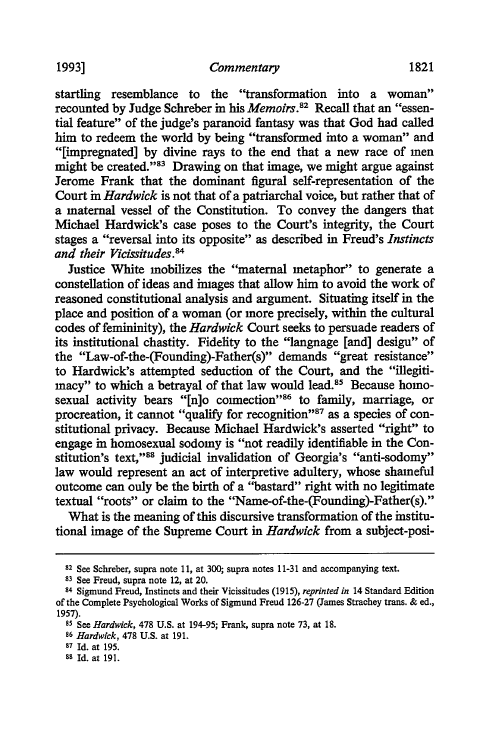startling resemblance to the "transformation into a woman" recounted by Judge Schreber in his *Memoirs*.<sup>82</sup> Recall that an "essential feature" of the judge's paranoid fantasy was that God had called him to redeem the world by being "transformed into a woman" and "[impregnated] by divine rays to the end that a new race of men might be created."<sup>83</sup> Drawing on that image, we might argue against Jerome Frank that the dominant figural self-representation of the Court in *Hardwick* is not that of a patriarchal voice, but rather that of a maternal vessel of the Constitution. To convey the dangers that Michael Hardwick's case poses to the Court's integrity, the Court stages a "reversal into its opposite" as described in Freud's *Instincts and their Vicissitudes.84*

Justice White mobilizes the "maternal metaphor" to generate a constellation of ideas and images that allow him to avoid the work of reasoned constitutional analysis and argument. Situating itself in the place and position of a woman (or more precisely, within the cultural codes of femininity), the *Hardwick* Court seeks to persuade readers of its institutional chastity. Fidelity to the "language [and] desigu" of the "Law-of-the-(Founding)-Father(s)" demands "great resistance" to Hardwick's attempted seduction of the Court, and the "illegitimacy" to which a betrayal of that law would lead.<sup>85</sup> Because homosexual activity bears "[n]o coimection"<sup>86</sup> to family, marriage, or procreation, it cannot "qualify for recognition"<sup>87</sup> as a species of constitutional privacy. Because Michael Hardwick's asserted "right" to engage in homosexual sodomy is "not readily identifiable in the Constitution's text,"<sup>88</sup> judicial invalidation of Georgia's "anti-sodomy" law would represent an act of interpretive adultery, whose shameful outcome can only be the birth of a "bastard" right with no legitimate textual "roots" or claim to the "Name-of-the-(Founding)-Father(s)."

What is the meaning of this discursive transformation of the institutional image of the Supreme Court in *Hardwick* from a subject-posi-

**<sup>82</sup>**See Schreber, supra note 11, at 300; supra notes 11-31 and accompanying text.

**<sup>83</sup>**See Freud, supra note 12, at 20.

<sup>84</sup> Sigmund Freud, Instincts and their Vicissitudes (1915), *reprinted in* 14 Standard Edition of the Complete Psychological Works of Sigmund Freud 126-27 (James Strachey trans. & ed., 1957).

**<sup>85</sup>**See *Hardwick,* 478 U.S. at 194-95; Frank, supra note 73, at 18.

**<sup>86</sup>***Hardwick,* 478 U.S. at 191.

**<sup>87</sup>**Id. at 195.

**<sup>88</sup>**Id. at 191.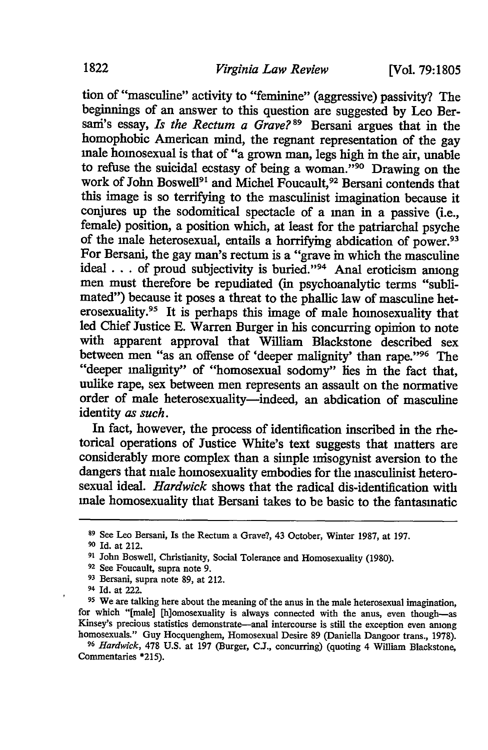tion of "masculine" activity to "feminine" (aggressive) passivity? The beginnings of an answer to this question are suggested by Leo Bersam's essay, *Is the Rectum a Grave?*<sup>89</sup> Bersani argues that in the homophobic American mind, the regnant representation of the gay male homosexual is that of "a grown man, legs high in the air, unable to refuse the suicidal ecstasy of being a woman."<sup>90</sup> Drawing on the work of John Boswell<sup>91</sup> and Michel Foucault, <sup>92</sup> Bersani contends that this image is so terrifying to the masculinist imagination because it conjures up the sodomitical spectacle of a man in a passive (i.e., female) position, a position which, at least for the patriarchal psyche of the male heterosexual, entails a horrifying abdication of power.<sup>93</sup> For Bersani, the gay man's rectum is a "grave in which the masculine ideal . . . of proud subjectivity is buried."<sup>94</sup> Anal eroticism among men must therefore be repudiated (in psychoanalytic terms "sublimated") because it poses a threat to the phallic law of masculine heterosexuality.95 It is perhaps this image of male homosexuality that led Chief Justice E. Warren Burger in his concurring opinion to note with apparent approval that William Blackstone described sex between men "as an offense of 'deeper malignity' than rape."96 The "deeper malignity" of "homosexual sodomy" lies in the fact that, unlike rape, sex between men represents an assault on the normative order of male heterosexuality-indeed, an abdication of masculine identity *as such.*

In fact, however, the process of identification inscribed in the rhetorical operations of Justice White's text suggests that matters are considerably more complex than a simple misogynist aversion to the dangers that male homosexuality embodies for the masculinist heterosexual ideal. *Hardwick* shows that the radical dis-identification with male homosexuality that Bersani takes to be basic to the fantasmatic

 $\bullet$ 

<sup>89</sup> See Leo Bersani, Is the Rectum a Grave?, 43 October, Winter 1987, at 197.

**<sup>90</sup>**Id. at 212.

**<sup>91</sup>**John Boswell, Christianity, Social Tolerance and Homosexuality (1980).

**<sup>92</sup>**See Foucault, supra note 9.

**<sup>93</sup>** Bersani, supra note 89, at 212.

<sup>94</sup>Id. at 222.

<sup>&</sup>lt;sup>95</sup> We are talking here about the meaning of the anus in the male heterosexual imagination, for which "[male] [h]omosexuality is always connected with the anus, even though—as Kinsey's precious statistics demonstrate—anal intercourse is still the exception even aniong homosexuals." Guy Hocquenghem, Homosexual Desire 89 (Daniella Dangoor trans., 1978).<br><sup>96</sup> Hardwick, 478 U.S. at 197 (Burger, C.J.

Commentaries \*215).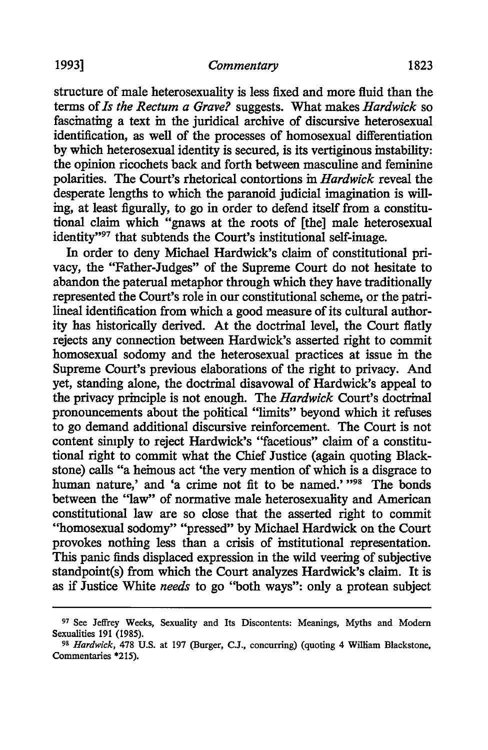structure of male heterosexuality is less fixed and more fluid than the terms of *Is the Rectum a Grave?* suggests. What makes *Hardwick* so fascinating a text in the juridical archive of discursive heterosexual identification, as well of the processes of homosexual differentiation **by** which heterosexual identity is secured, is its vertiginous instability: the opinion ricochets back and forth between masculine and feminine polarities. The Court's rhetorical contortions in *Hardwick* reveal the desperate lengths to which the paranoid judicial imagination is willing, at least figurally, to go in order to defend itself from a constitutional claim which "gnaws at the roots of [the] male heterosexual identity"<sup>97</sup> that subtends the Court's institutional self-image.

In order to deny Michael Hardwick's claim of constitutional privacy, the "Father-Judges" of the Supreme Court do not hesitate to abandon the paternal metaphor through which they have traditionally represented the Court's role in our constitutional scheme, or the patrilineal identification from which a good measure of its cultural authority has historically derived. At the doctrinal level, the Court flatly rejects any connection between Hardwick's asserted right to commit homosexual sodomy and the heterosexual practices at issue in the Supreme Court's previous elaborations of the right to privacy. And yet, standing alone, the doctrinal disavowal of Hardwick's appeal to the privacy principle is not enough. The *Hardwick* Court's doctrinal pronouncements about the political "limits" beyond which it refuses to go demand additional discursive reinforcement. The Court is not content simply to reject Hardwick's "facetious" claim of a constitutional right to commit what the Chief Justice (again quoting Blackstone) calls "a heinous act 'the very mention of which is a disgrace to human nature,' and 'a crime not fit to be named.' **"98** The bonds between the "law" of normative male heterosexuality and American constitutional law are so close that the asserted right to commit "homosexual sodomy" "pressed" **by** Michael Hardwick on the Court provokes nothing less than a crisis of institutional representation. This panic finds displaced expression in the wild veering of subjective standpoint(s) from which the Court analyzes Hardwick's claim. It is as if Justice White *needs* to go "both ways": only a protean subject

**<sup>97</sup>**See Jeffrey Weeks, Sexuality and Its Discontents: Meanings, Myths and Modem Sexualities 191 (1985).

**<sup>98</sup>***Hardwick,* 478 U.S. at 197 (Burger, C.J., concurring) (quoting 4 William Blackstone, Commentaries \*215).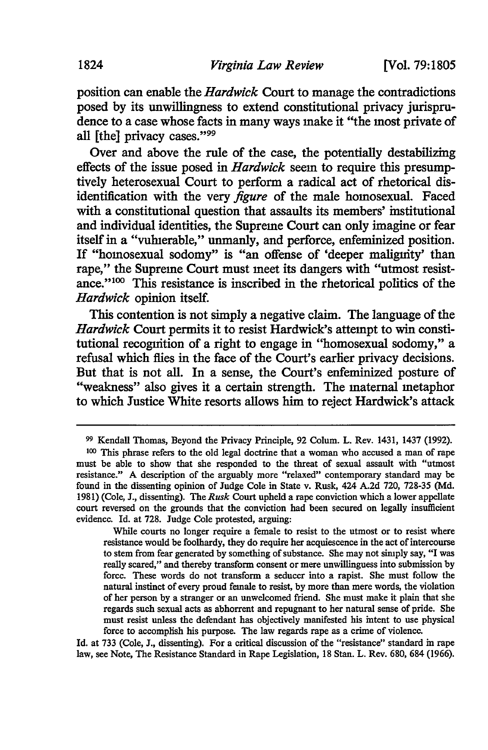position can enable the *Hardwick* Court to manage the contradictions posed **by** its unwillingness to extend constitutional privacy jurisprudence to a case whose facts in many ways make it "the most private of all [the] privacy cases."<sup>99</sup>

Over and above the rule of the case, the potentially destabilizing effects of the issue posed in *Hardwick* seem to require this presumptively heterosexual Court to perform a radical act of rhetorical disidentification with the very *figure* of the male homosexual. Faced with a constitutional question that assaults its members' institutional and individual identities, the Supreme Court can only imagine or fear itself in a "vulnerable," unmanly, and perforce, enfeminized position. If "homosexual sodomy" is **"an** offense of 'deeper malignity' than rape," the Supreme Court must meet its dangers with "utmost resistance."<sup>100</sup> This resistance is inscribed in the rhetorical politics of the *Hardwick* opinion itself.

This contention is not simply a negative claim. The language of the *Hardwick* Court permits it to resist Hardwick's attempt to win constitutional recognition of a right to engage in "homosexual sodomy," a refusal which flies in the face of the Court's earlier privacy decisions. But that is not all. In a sense, the Court's enfeminized posture of "weakness" also gives it a certain strength. The maternal metaphor to which Justice White resorts allows him to reject Hardwick's attack

While courts no longer require a female to resist to the utmost or to resist where resistance would be foolhardy, they do require her acquiescence in the act of intercourse to stem from fear generated by something of substance. She may not simply say, "I was really scared," and thereby transform consent or mere unwillingness into submission by force. These words do not transform a seducer into a rapist. She must follow the natural instinct of every proud female to resist, by more than mere words, the violation of her person by a stranger or an unwelcomed friend. She must make it plain that she regards such sexual acts as abhorrent and repugnant to her natural sense of pride. She must resist unless the defendant has objectively manifested his intent to use physical force to accomplish his purpose. The law regards rape as a crime of violence.

Id. at 733 (Cole, J., dissenting). For a critical discussion of the "resistance" standard in rape law, see Note, The Resistance Standard in Rape Legislation, 18 Stan. L. Rev. 680, 684 (1966).

**<sup>99</sup>**Kendall Thomas, Beyond the Privacy Principle, 92 Colum. L. Rev. 1431, 1437 (1992).

**<sup>100</sup>**This phrase refers to the old legal doctrine that a woman who accused a man of rape must be able to show that she responded to the threat of sexual assault with "utmost resistance." A description of the arguably more "relaxed" contemporary standard may be found in the dissenting opinion of Judge Cole in State v. Rusk, 424 A.2d 720, 728-35 (Md. 1981) (Cole, J., dissenting). *TheRusk* Court upheld a rape conviction which a lower appellate court reversed on the grounds that the conviction had been secured on legally insufficient evidence. Id. at 728. Judge Cole protested, arguing: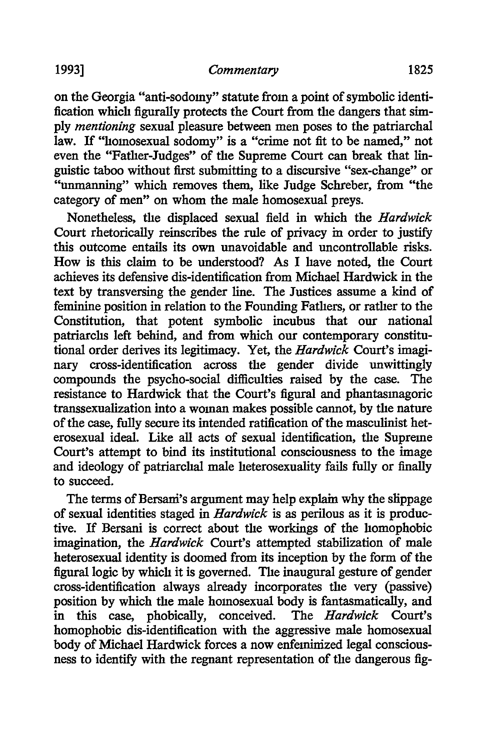on the Georgia "anti-sodomy" statute from a point of symbolic identification which figurally protects the Court from the dangers that sim**ply** *mentioning* sexual pleasure between men poses to the patriarchal law. If "homosexual sodomy" is a "crime not fit to be named," not even the "Father-Judges" of the Supreme Court can break that linguistic taboo without first submitting to a discursive "sex-change" or "unmanning" which removes them, like Judge Schreber, from "the category of men" on whom the male homosexual preys.

Nonetheless, the displaced sexual field in which the *Hardwick* Court rhetorically reinscribes the rule of privacy in order to justify this outcome entails its own unavoidable and uncontrollable risks. How is this claim to be understood? As I have noted, the Court achieves its defensive dis-identification from Michael Hardwick in the text **by** transversing the gender line. The Justices assume a kind of feminine position in relation to the Founding Fathers, or rather to the Constitution, that potent symbolic incubus that our national patriarchs left behind, and from which our contemporary constitutional order derives its legitimacy. Yet, the *Hardwick* Court's imaginary cross-identification across the gender divide unwittingly compounds the psycho-social difficulties raised **by** the case. The resistance to Hardwick that the Court's figural and phantasmagoric transsexualization into a woman makes possible cannot, **by** the nature of the case, fully secure its intended ratification of the masculinist heterosexual ideal. Like all acts of sexual identification, the Supreme Court's attempt to bind its institutional consciousness to the image and ideology of patriarchal male heterosexuality fails fully or finally to succeed.

The terms of Bersani's argument may help explain why the slippage of sexual identities staged in *Hardwick* is as perilous as it is productive. If Bersani is correct about the workings of the homophobic imagination, the *Hardwick* Court's attempted stabilization of male heterosexual identity is doomed from its inception **by** the form of the figural logic **by** which it is governed. The inaugural gesture of gender cross-identification always already incorporates the very (passive) position **by** which the male homosexual body is fantasmatically, and in this case, phobically, conceived. The *Hardwick* Court's homophobic dis-identification with the aggressive male homosexual body of Michael Hardwick forces a now enfeminized legal consciousness to identify with the regnant representation of the dangerous fig-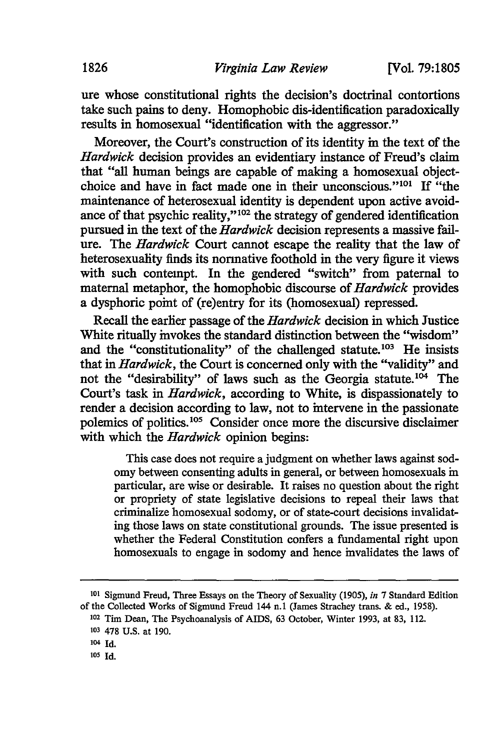ure whose constitutional rights the decision's doctrinal contortions take such pains to deny. Homophobic dis-identification paradoxically results in homosexual "identification with the aggressor."

Moreover, the Court's construction of its identity in the text of the *Hardwick* decision provides an evidentiary instance of Freud's claim that "all human beings are capable of making a homosexual objectchoice and have in fact made one in their unconscious."<sup>101</sup> If "the maintenance of heterosexual identity is dependent upon active avoidance of that psychic reality," $102$  the strategy of gendered identification pursued in the text of the *Hardwick* decision represents a massive failure. The *Hardwick* Court cannot escape the reality that the law of heterosexuality finds its normative foothold in the very figure it views with such contempt. In the gendered "switch" from paternal to maternal metaphor, the homophobic discourse of *Hardwick* provides a dysphoric point of (re)entry for its (homosexual) repressed.

Recall the earlier passage of the *Hardwick* decision in which Justice White ritually invokes the standard distinction between the "wisdom" and the "constitutionality" of the challenged statute.<sup>103</sup> He insists that in *Hardwick,* the Court is concerned only with the "validity" and not the "desirability" of laws such as the Georgia statute.<sup>104</sup> The Court's task in *Hardwick,* according to White, is dispassionately to render a decision according to law, not to intervene in the passionate polemics of politics. 05 Consider once more the discursive disclaimer with which the *Hardwick* opinion begins:

This case does not require a judgment on whether laws against sodomy between consenting adults in general, or between homosexuals in particular, are wise or desirable. It raises no question about the right or propriety of state legislative decisions to repeal their laws that criminalize homosexual sodomy, or of state-court decisions invalidating those laws on state constitutional grounds. The issue presented is whether the Federal Constitution confers a fundamental right upon homosexuals to engage in sodomy and hence invalidates the laws of

**<sup>101</sup>** Sigmund Freud, Three Essays on the Theory of Sexuality (1905), *in* 7 Standard Edition of the Collected Works of Sigmund Freud 144 n.1 (James Strachey trans. & ed., 1958).

<sup>102</sup> Tim Dean, The Psychoanalysis of AIDS, 63 October, Winter 1993, at 83, 112.

**<sup>103</sup>** 478 U.S. at 190.

<sup>104</sup> Id.

**<sup>105</sup>**Id.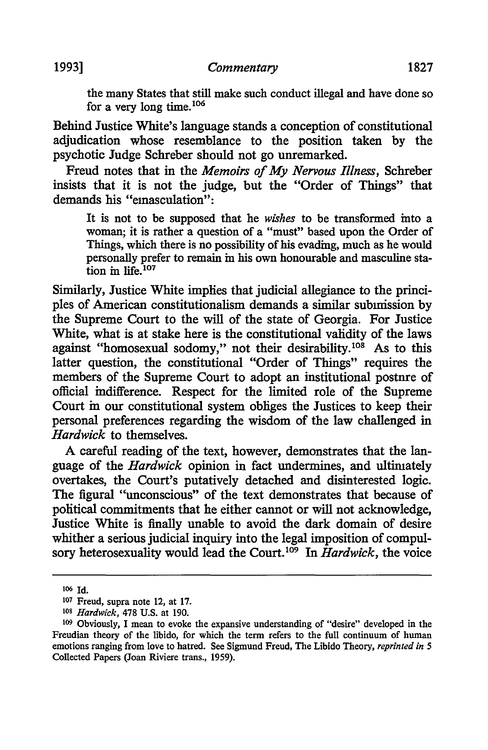the many States that still make such conduct illegal and have done so for a very long time. **1<sup>6</sup>**

Behind Justice White's language stands a conception of constitutional adjudication whose resemblance to the position taken by the psychotic Judge Schreber should not go unremarked.

Freud notes that in the *Memoirs of My Nervous Illness,* Schreber insists that it is not the judge, but the "Order of Things" that demands his "emasculation":

It is not to be supposed that he *wishes* to be transformed into a woman; it is rather a question of a "must" based upon the Order of Things, which there is no possibility of his evading, much as he would personally prefer to remain in his own honourable and masculine sta- $\frac{1}{2}$  tion in life.  $107$ 

Similarly, Justice White implies that judicial allegiance to the principles of American constitutionalism demands a similar submission by the Supreme Court to the will of the state of Georgia. For Justice White, what is at stake here is the constitutional validity of the laws against "homosexual sodomy," not their desirability.<sup>108</sup> As to this latter question, the constitutional "Order of Things" requires the members of the Supreme Court to adopt an institutional posture of official indifference. Respect for the limited role of the Supreme Court in our constitutional system obliges the Justices to keep their personal preferences regarding the wisdom of the law challenged in *Hardwick* to themselves.

**A** careful reading of the text, however, demonstrates that the language of the *Hardwick* opinion in fact undermines, and ultimately overtakes, the Court's putatively detached and disinterested logic. The figural "unconscious" of the text demonstrates that because of political commitments that he either cannot or will not acknowledge, Justice White is finally unable to avoid the dark domain of desire whither a serious judicial inquiry into the legal imposition of compulsory heterosexuality would lead the Court.<sup>109</sup> In *Hardwick*, the voice

**<sup>106</sup>** Id.

**<sup>107</sup>** Freud, supra note 12, at 17.

*<sup>108</sup>Hardwick,* 478 U.S. at 190.

**<sup>109</sup>**Obviously, I mean to evoke the expansive understanding of "desire" developed in the Freudian theory of the libido, for which the term refers to the full continuum of human emotions ranging from love to hatred. See Sigmund Freud, The Libido Theory, *reprinted in 5* Collected Papers (Joan Riviere trans., 1959).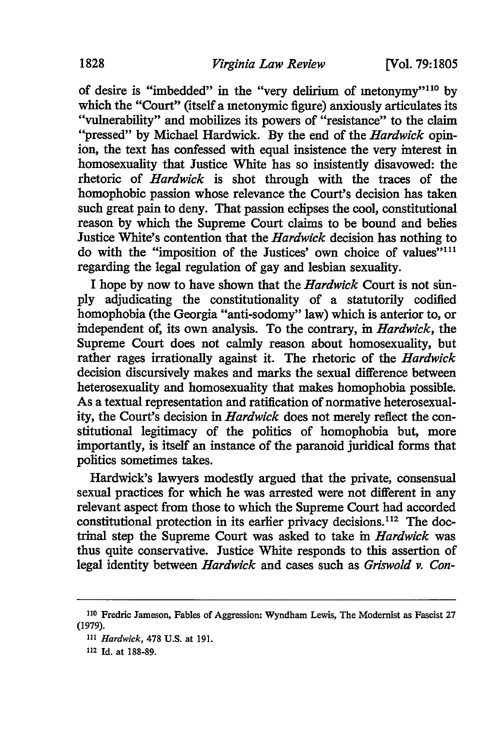of desire is "imbedded" in the "very delirium of metonymy"<sup>110</sup> by which the "Court" (itself a metonymic figure) anxiously articulates its "vulnerability" and mobilizes its powers of "resistance" to the claim "pressed" **by** Michael Hardwick. **By** the end of the *Hardwick* opinion, the text has confessed with equal insistence the very interest in homosexuality that Justice White has so insistently disavowed: the rhetoric of *Hardwick* is shot through with the traces of the homophobic passion whose relevance the Court's decision has taken such great pain to deny. That passion eclipses the cool, constitutional reason **by** which the Supreme Court claims to be bound and belies Justice White's contention that the *Hardwick* decision has nothing to do with the "imposition of the Justices' own choice of values"<sup>111</sup> regarding the legal regulation of gay and lesbian sexuality.

I hope **by** now to have shown that the *Hardwick* Court is not sim**ply** adjudicating the constitutionality of a statutorily codified homophobia (the Georgia "anti-sodomy" law) which is anterior to, or independent of, its own analysis. To the contrary, in *Hardwick,* the Supreme Court does not calmly reason about homosexuality, but rather rages irrationally against it. The rhetoric of the *Hardwick* decision discursively makes and marks the sexual difference between heterosexuality and homosexuality that makes homophobia possible. As a textual representation and ratification of normative heterosexuality, the Court's decision in *Hardwick* does not merely reflect the constitutional legitimacy of the politics of homophobia but, more importantly, is itself an instance of the paranoid juridical forms that politics sometimes takes.

Hardwick's lawyers modestly argued that the private, consensual sexual practices for which he was arrested were not different in any relevant aspect from those to which the Supreme Court had accorded constitutional protection in its earlier privacy decisions.<sup>112</sup> The doctrinal step the Supreme Court was asked to take in *Hardwick was* thus quite conservative. Justice White responds to this assertion of legal identity between *Hardwick* and cases such as *Griswold v. Con-*

**<sup>110</sup>**Fredric Jameson, Fables of Aggression: Wyndham Lewis, The Modernist as Fascist **27** (1979).

*<sup>11</sup> Hardwick,* 478 U.S. at 191.

<sup>112</sup> Id. at 188-89.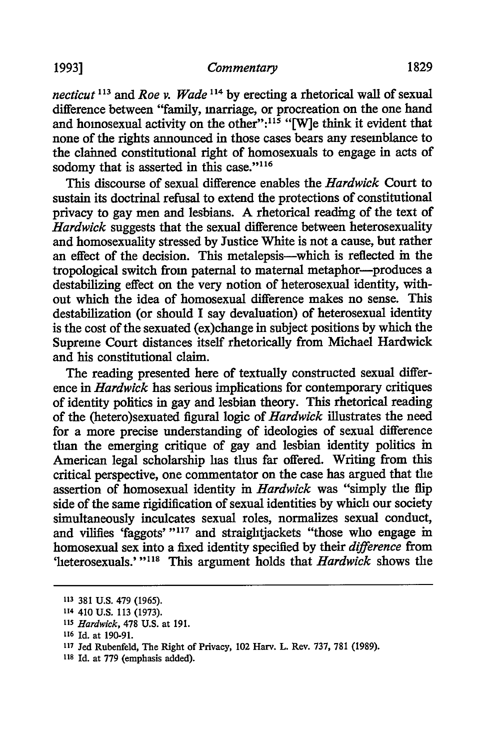*necticut* <sup>113</sup> and *Roe v. Wade* <sup>114</sup> by erecting a rhetorical wall of sexual difference between "family, marriage, or procreation on the one hand and homosexual activity on the other":<sup>115</sup> "[W]e think it evident that none of the rights announced in those cases bears any resemblance to the claimed constitutional right of homosexuals to engage in acts of sodomy that is asserted in this case."<sup>116</sup>

This discourse of sexual difference enables the *Hardwick* Court to sustain its doctrinal refusal to extend the protections of constitutional privacy to gay men and lesbians. A rhetorical reading of the text of *Hardwick* suggests that the sexual difference between heterosexuality and homosexuality stressed by Justice White is not a cause, but rather an effect of the decision. This metalepsis-which is reflected in the tropological switch from paternal to maternal metaphor-produces a destabilizing effect on the very notion of heterosexual identity, without which the idea of homosexual difference makes no sense. This destabilization (or should I say devaluation) of heterosexual identity is the cost of the sexuated (ex)change in subject positions by which the Supreme Court distances itself rhetorically from Michael Hardwick and his constitutional claim.

The reading presented here of textually constructed sexual difference in *Hardwick* has serious implications for contemporary critiques of identity politics in gay and lesbian theory. This rhetorical reading of the (hetero)sexuated figural logic of *Hardwick* illustrates the need for a more precise understanding of ideologies of sexual difference than the emerging critique of gay and lesbian identity politics in American legal scholarship has thus far offered. Writing from this critical perspective, one commentator on the case has argued that the assertion of homosexual identity in *Hardwick* was "simply the flip side of the same rigidification of sexual identities by which our society simultaneously inculcates sexual roles, normalizes sexual conduct, and vilifies 'faggots' **117** and straightjackets "those who engage in homosexual sex into a fixed identity specified by their *difference* from 'heterosexuals.' "<sup>118</sup> This argument holds that *Hardwick* shows the

**<sup>113</sup>**381 U.S. 479 (1965).

**<sup>114</sup>**410 U.S. 113 (1973).

**I'5** *Hardwick,* 478 U.S. at 191.

**<sup>116</sup>**Id. at 190-91.

**<sup>117</sup>**Jed Rubenfeld, The Right of Privacy, 102 Harv. L. Rev. 737, 781 (1989).

**<sup>118</sup>**Id. at 779 (emphasis added).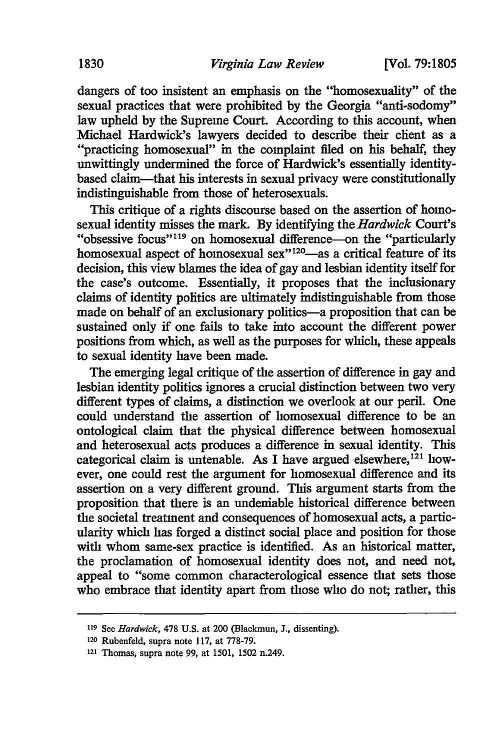dangers of too insistent an emphasis on the "homosexuality" of the sexual practices that were prohibited by the Georgia "anti-sodomy" law upheld by the Supreme Court. According to this account, when Michael Hardwick's lawyers decided to describe their client as a "practicing homosexual" in the complaint filed on his behalf, they unwittingly undermined the force of Hardwick's essentially identitybased claim-that his interests in sexual privacy were constitutionally indistinguishable from those of heterosexuals.

This critique of a rights discourse based on the assertion of homosexual identity misses the mark. By identifying the *Hardwick* Court's "obsessive focus"<sup>119</sup> on homosexual difference—on the "particularly homosexual aspect of homosexual sex"<sup>120</sup>-as a critical feature of its decision, this view blames the idea of gay and lesbian identity itself for the case's outcome. Essentially, it proposes that the inclusionary claims of identity politics are ultimately indistinguishable from those made on behalf of an exclusionary politics-a proposition that can be sustained only if one fails to take into account the different power positions from which, as well as the purposes for which, these appeals to sexual identity have been made.

The emerging legal critique of the assertion of difference in gay and lesbian identity politics ignores a crucial distinction between two very different types of claims, a distinction we overlook at our peril. One could understand the assertion of homosexual difference to be an ontological claim that the physical difference between homosexual and heterosexual acts produces a difference in sexual identity. This categorical claim is untenable. As I have argued elsewhere, $^{121}$  however, one could rest the argument for homosexual difference and its assertion on a very different ground. This argument starts from the proposition that there is an undeniable historical difference between the societal treatment and consequences of homosexual acts, a particularity which has forged a distinct social place and position for those with whom same-sex practice is identified. As an historical matter, the proclamation of homosexual identity does not, and need not, appeal to "some common characterological essence that sets those who embrace that identity apart from those who do not; rather, this

**<sup>119</sup>**See *Hardwick,* 478 **U.S.** at 200 (Blackmun, **J.,** dissenting).

**<sup>120</sup>**Rubenfeld, supra note 117, at 778-79.

**<sup>121</sup>**Thomas, supra note 99, at 1501, 1502 n.249.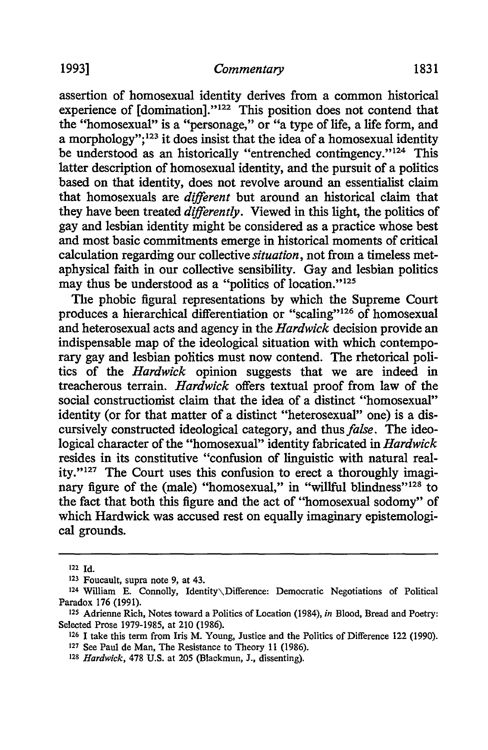assertion of homosexual identity derives from a common historical experience of  $[domination]$ ."<sup>122</sup> This position does not contend that the "homosexual" is a "personage," or "a type of life, a life form, and a morphology";<sup>123</sup> it does insist that the idea of a homosexual identity be understood as an historically "entrenched contingency."<sup>124</sup> This latter description of homosexual identity, and the pursuit of a politics based on that identity, does not revolve around an essentialist claim that homosexuals are *different* but around an historical claim that they have been treated *differently.* Viewed in this light, the politics of gay and lesbian identity might be considered as a practice whose best and most basic commitments emerge in historical moments of critical calculation regarding our collective *situation,* not from a timeless metaphysical faith in our collective sensibility. Gay and lesbian politics may thus be understood as a "politics of location."<sup>125</sup>

The phobic figural representations by which the Supreme Court produces a hierarchical differentiation or "scaling"<sup>126</sup> of homosexual and heterosexual acts and agency in the *Hardwick* decision provide an indispensable map of the ideological situation with which contemporary gay and lesbian politics must now contend. The rhetorical politics of the *Hardwick* opinion suggests that we are indeed in treacherous terrain. *Hardwick* offers textual proof from law of the social constructionist claim that the idea of a distinct "homosexual" identity (or for that matter of a distinct "heterosexual" one) is a discursively constructed ideological category, and thus *false.* The ideological character of the "homosexual" identity fabricated in *Hardwick* resides in its constitutive "confusion of linguistic with natural reality."<sup>127</sup> The Court uses this confusion to erect a thoroughly imaginary figure of the (male) "homosexual," in "willful blindness"<sup>128</sup> to the fact that both this figure and the act of "homosexual sodomy" of which Hardwick was accused rest on equally imaginary epistemological grounds.

**<sup>122</sup>** Id.

**<sup>123</sup>** Foucault, supra note 9, at 43.

**<sup>124</sup>** William E. Connolly, Identity\Difference: Democratic Negotiations of Political Paradox 176 (1991).

**<sup>125</sup>** Adrienne Rich, Notes toward a Politics of Location (1984), *in* Blood, Bread and Poetry: Selected Prose 1979-1985, at 210 (1986). **<sup>126</sup>**1 take this term from Iris M. Young, Justice and the Politics of Difference 122 (1990).

**<sup>127</sup>** See Paul de Man, The Resistance to Theory **11** (1986).

*<sup>128</sup>Hardwick,* 478 U.S. at 205 (Blackmun, J., dissenting).